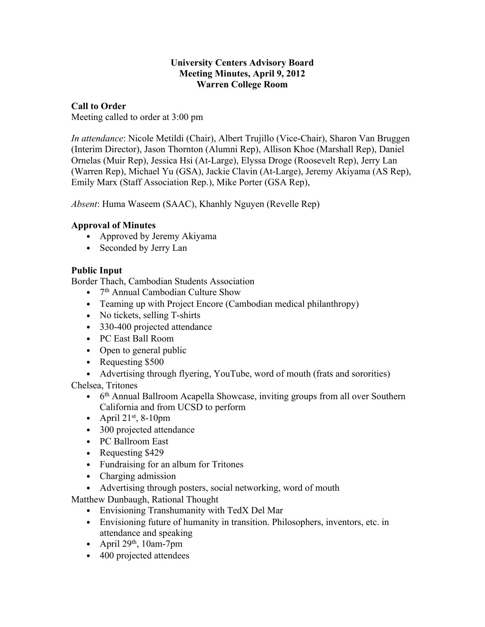#### **University Centers Advisory Board Meeting Minutes, April 9, 2012 Warren College Room**

## **Call to Order**

Meeting called to order at 3:00 pm

*In attendance*: Nicole Metildi (Chair), Albert Trujillo (Vice-Chair), Sharon Van Bruggen (Interim Director), Jason Thornton (Alumni Rep), Allison Khoe (Marshall Rep), Daniel Ornelas (Muir Rep), Jessica Hsi (At-Large), Elyssa Droge (Roosevelt Rep), Jerry Lan (Warren Rep), Michael Yu (GSA), Jackie Clavin (At-Large), Jeremy Akiyama (AS Rep), Emily Marx (Staff Association Rep.), Mike Porter (GSA Rep),

*Absent*: Huma Waseem (SAAC), Khanhly Nguyen (Revelle Rep)

# **Approval of Minutes**

- Approved by Jeremy Akiyama
- Seconded by Jerry Lan

# **Public Input**

Border Thach, Cambodian Students Association

- 7<sup>th</sup> Annual Cambodian Culture Show
- Teaming up with Project Encore (Cambodian medical philanthropy)
- No tickets, selling T-shirts
- 330-400 projected attendance
- PC East Ball Room
- Open to general public
- Requesting \$500
- Advertising through flyering, YouTube, word of mouth (frats and sororities)

Chelsea, Tritones

- 6<sup>th</sup> Annual Ballroom Acapella Showcase, inviting groups from all over Southern California and from UCSD to perform
- April  $21^{st}$ , 8-10pm
- 300 projected attendance
- PC Ballroom East
- Requesting \$429
- Fundraising for an album for Tritones
- Charging admission
- Advertising through posters, social networking, word of mouth

Matthew Dunbaugh, Rational Thought

- Envisioning Transhumanity with TedX Del Mar
- Envisioning future of humanity in transition. Philosophers, inventors, etc. in attendance and speaking
- April  $29<sup>th</sup>$ , 10am-7pm
- 400 projected attendees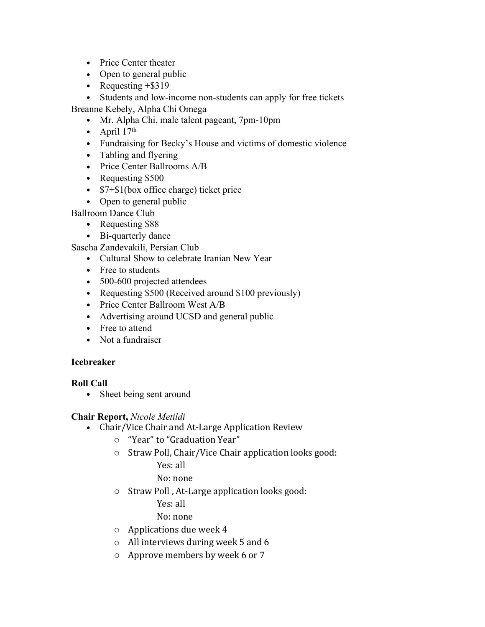- Price Center theater
- Open to general public
- Requesting  $+$ \$319

• Students and low-income non-students can apply for free tickets Breanne Kebely, Alpha Chi Omega

- Mr. Alpha Chi, male talent pageant, 7pm-10pm
- $\bullet$  April 17<sup>th</sup>
- Fundraising for Becky's House and victims of domestic violence
- Tabling and flyering
- Price Center Ballrooms A/B
- Requesting \$500
- \$7+\$1(box office charge) ticket price
- Open to general public

Ballroom Dance Club

- Requesting \$88
- Bi-quarterly dance

Sascha Zandevakili, Persian Club

- Cultural Show to celebrate Iranian New Year
- Free to students
- 500-600 projected attendees
- Requesting \$500 (Received around \$100 previously)
- Price Center Ballroom West A/B
- Advertising around UCSD and general public
- Free to attend
- Not a fundraiser

### **Icebreaker**

**Roll Call**

• Sheet being sent around

**Chair Report,** *Nicole Metildi*

- Chair/Vice Chair and At-Large Application Review
	- o "Year" to "Graduation Year"
	- o Straw Poll, Chair/Vice Chair application looks good:

Yes: all

No: none

o Straw Poll , At-Large application looks good:

Yes: all

No: none

- o Applications due week 4
- o All interviews during week 5 and 6
- o Approve members by week 6 or 7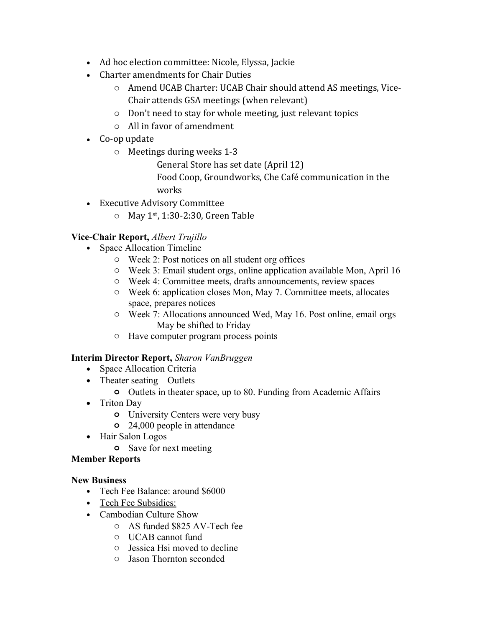- Ad hoc election committee: Nicole, Elyssa, Jackie
- Charter amendments for Chair Duties
	- o Amend UCAB Charter: UCAB Chair should attend AS meetings, Vice-Chair attends GSA meetings (when relevant)
	- o Don't need to stay for whole meeting, just relevant topics
	- o All in favor of amendment
- Co-op update
	- o Meetings during weeks 1-3
		- General Store has set date (April 12)
		- Food Coop, Groundworks, Che Café communication in the works
- Executive Advisory Committee
	- $\circ$  May 1<sup>st</sup>, 1:30-2:30, Green Table

# **Vice-Chair Report,** *Albert Trujillo*

- Space Allocation Timeline
	- o Week 2: Post notices on all student org offices
	- o Week 3: Email student orgs, online application available Mon, April 16
	- o Week 4: Committee meets, drafts announcements, review spaces
	- o Week 6: application closes Mon, May 7. Committee meets, allocates space, prepares notices
	- o Week 7: Allocations announced Wed, May 16. Post online, email orgs May be shifted to Friday
	- o Have computer program process points

### **Interim Director Report,** *Sharon VanBruggen*

- Space Allocation Criteria
- Theater seating  $-$  Outlets
	- **o** Outlets in theater space, up to 80. Funding from Academic Affairs
- Triton Day
	- **o** University Centers were very busy
	- **o** 24,000 people in attendance
- Hair Salon Logos
	- **o** Save for next meeting

### **Member Reports**

### **New Business**

- Tech Fee Balance: around \$6000
- Tech Fee Subsidies:
- Cambodian Culture Show
	- o AS funded \$825 AV-Tech fee
	- o UCAB cannot fund
	- o Jessica Hsi moved to decline
	- o Jason Thornton seconded